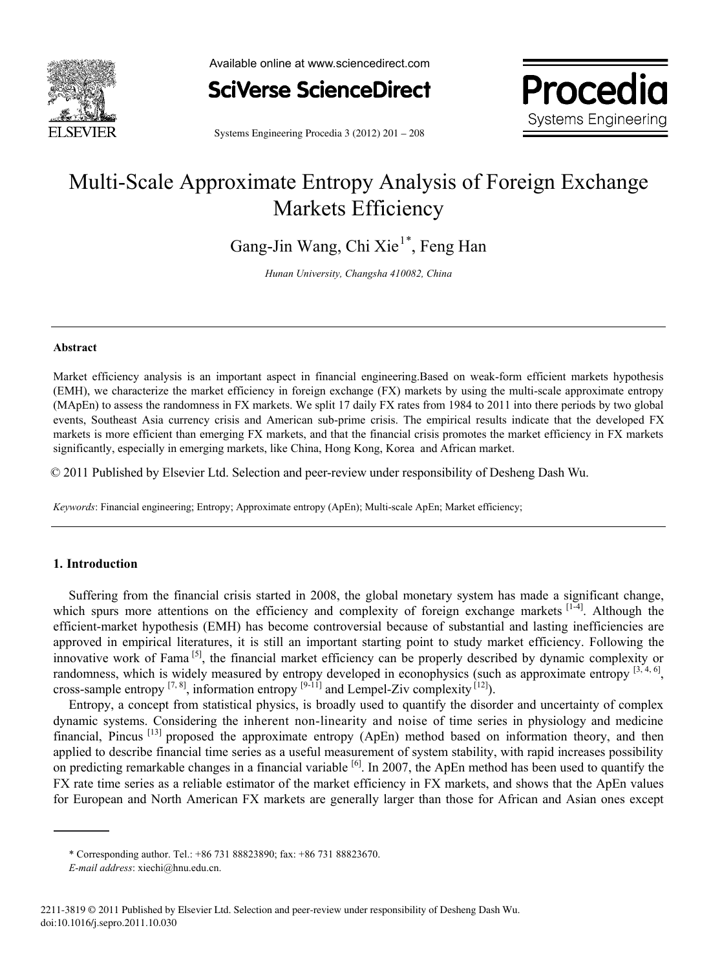

Available online at www.sciencedirect.com



**Systems Engineering Procedia** Systems Engineering www.elsevier.com/locate/procediate/procediate/

Systems Engineering Procedia 3 (2012) 201 – 208

# Multi-Scale Approximate Entropy Analysis of Foreign Exchange Markets Efficiency

Gang-Jin Wang, Chi Xie<sup>1\*</sup>, Feng Han

*Hunan University, Changsha 410082, China* 

#### **Abstract**

Market efficiency analysis is an important aspect in financial engineering.Based on weak-form efficient markets hypothesis (EMH), we characterize the market efficiency in foreign exchange (FX) markets by using the multi-scale approximate entropy (MApEn) to assess the randomness in FX markets. We split 17 daily FX rates from 1984 to 2011 into there periods by two global events, Southeast Asia currency crisis and American sub-prime crisis. The empirical results indicate that the developed FX markets is more efficient than emerging FX markets, and that the financial crisis promotes the market efficiency in FX markets significantly, especially in emerging markets, like China, Hong Kong, Korea and African market.

© 2011 Published by Elsevier Ltd. Selection and peer-review under responsibility of Desheng Dash Wu © 2011 Published by Elsevier Ltd. Selection and peer-review under responsibility of Desheng Dash Wu.

*Keywords*: Financial engineering; Entropy; Approximate entropy (ApEn); Multi-scale ApEn; Market efficiency;

### **1. Introduction**

Suffering from the financial crisis started in 2008, the global monetary system has made a significant change, which spurs more attentions on the efficiency and complexity of foreign exchange markets [1-4]. Although the efficient-market hypothesis (EMH) has become controversial because of substantial and lasting inefficiencies are approved in empirical literatures, it is still an important starting point to study market efficiency. Following the innovative work of Fama  $[5]$ , the financial market efficiency can be properly described by dynamic complexity or randomness, which is widely measured by entropy developed in econophysics (such as approximate entropy [3,4,6], cross-sample entropy  $^{[7, 8]}$ , information entropy  $^{[9-11]}$  and Lempel-Ziv complexity  $^{[12]}$ ).

Entropy, a concept from statistical physics, is broadly used to quantify the disorder and uncertainty of complex dynamic systems. Considering the inherent non-linearity and noise of time series in physiology and medicine financial, Pincus  $[13]$  proposed the approximate entropy (ApEn) method based on information theory, and then applied to describe financial time series as a useful measurement of system stability, with rapid increases possibility on predicting remarkable changes in a financial variable  $\left[6\right]$ . In 2007, the ApEn method has been used to quantify the FX rate time series as a reliable estimator of the market efficiency in FX markets, and shows that the ApEn values for European and North American FX markets are generally larger than those for African and Asian ones except

<sup>\*</sup> Corresponding author. Tel.: +86 731 88823890; fax: +86 731 88823670.

*E-mail address*: xiechi@hnu.edu.cn.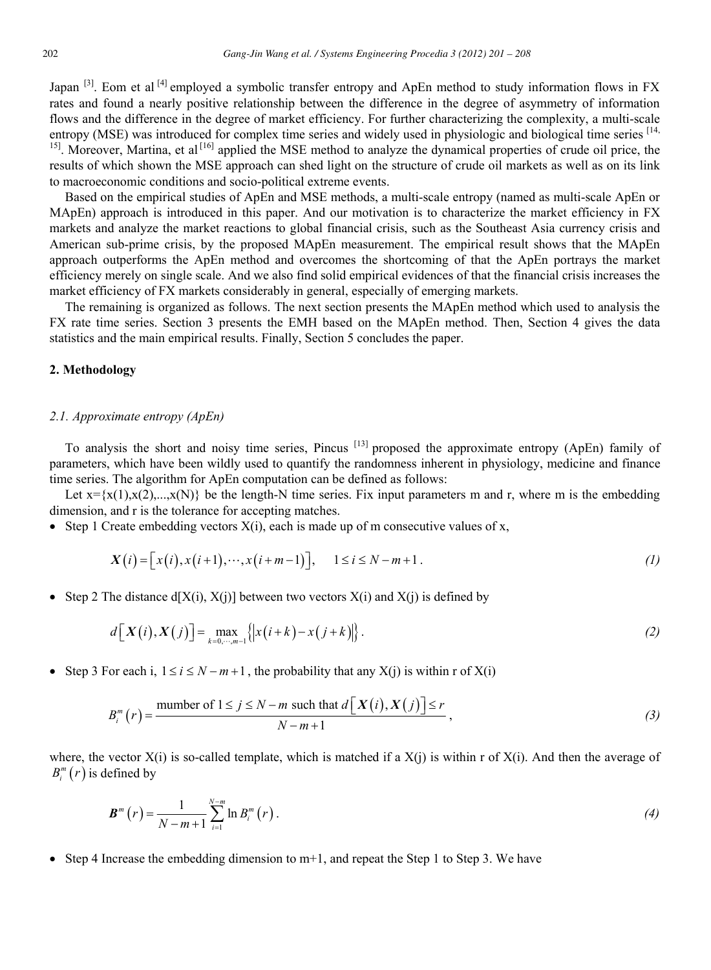Japan <sup>[3]</sup>. Eom et al <sup>[4]</sup> employed a symbolic transfer entropy and ApEn method to study information flows in FX rates and found a nearly positive relationship between the difference in the degree of asymmetry of information flows and the difference in the degree of market efficiency. For further characterizing the complexity, a multi-scale entropy (MSE) was introduced for complex time series and widely used in physiologic and biological time series  $^{[14]}$ <sup>15]</sup>. Moreover, Martina, et al<sup>[16]</sup> applied the MSE method to analyze the dynamical properties of crude oil price, the results of which shown the MSE approach can shed light on the structure of crude oil markets as well as on its link to macroeconomic conditions and socio-political extreme events.

Based on the empirical studies of ApEn and MSE methods, a multi-scale entropy (named as multi-scale ApEn or MApEn) approach is introduced in this paper. And our motivation is to characterize the market efficiency in FX markets and analyze the market reactions to global financial crisis, such as the Southeast Asia currency crisis and American sub-prime crisis, by the proposed MApEn measurement. The empirical result shows that the MApEn approach outperforms the ApEn method and overcomes the shortcoming of that the ApEn portrays the market efficiency merely on single scale. And we also find solid empirical evidences of that the financial crisis increases the market efficiency of FX markets considerably in general, especially of emerging markets.

The remaining is organized as follows. The next section presents the MApEn method which used to analysis the FX rate time series. Section 3 presents the EMH based on the MApEn method. Then, Section 4 gives the data statistics and the main empirical results. Finally, Section 5 concludes the paper.

#### **2. Methodology**

#### *2.1. Approximate entropy (ApEn)*

To analysis the short and noisy time series, Pincus [13] proposed the approximate entropy (ApEn) family of parameters, which have been wildly used to quantify the randomness inherent in physiology, medicine and finance time series. The algorithm for ApEn computation can be defined as follows:

Let  $x = \{x(1), x(2),...,x(N)\}\$  be the length-N time series. Fix input parameters m and r, where m is the embedding dimension, and r is the tolerance for accepting matches.

• Step 1 Create embedding vectors  $X(i)$ , each is made up of m consecutive values of x,

$$
X(i) = \big[ x(i), x(i+1), \cdots, x(i+m-1) \big], \qquad 1 \le i \le N-m+1 \,. \tag{1}
$$

• Step 2 The distance  $d[X(i), X(j)]$  between two vectors  $X(i)$  and  $X(j)$  is defined by

$$
d\left[X(i), X(j)\right] = \max_{k=0,\dots,m-1} \left\{ \left| x(i+k) - x(j+k) \right| \right\}.
$$
 (2)

Step 3 For each i,  $1 \le i \le N-m+1$ , the probability that any  $X(i)$  is within r of  $X(i)$ 

$$
B_i^m(r) = \frac{\text{number of } 1 \le j \le N - m \text{ such that } d\left[X(i), X(j)\right] \le r}{N - m + 1},\tag{3}
$$

where, the vector  $X(i)$  is so-called template, which is matched if a  $X(i)$  is within r of  $X(i)$ . And then the average of  $B_i^m(r)$  is defined by

$$
\boldsymbol{B}^{m}(r) = \frac{1}{N-m+1} \sum_{i=1}^{N-m} \ln B_{i}^{m}(r).
$$
 (4)

• Step 4 Increase the embedding dimension to  $m+1$ , and repeat the Step 1 to Step 3. We have